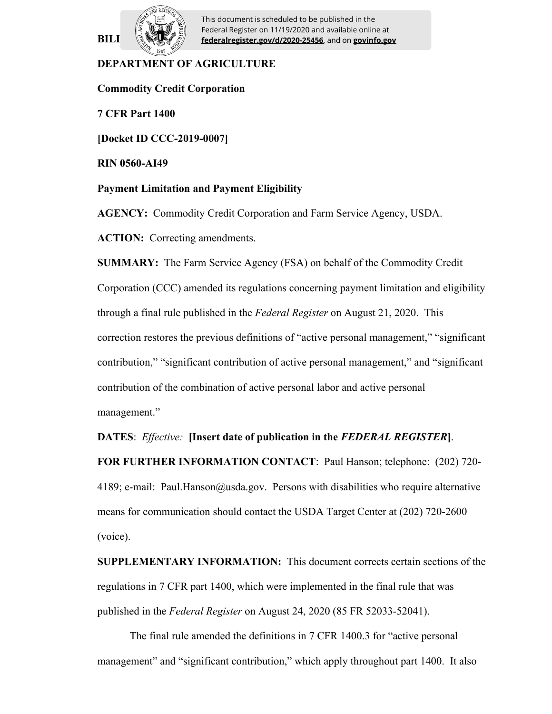

**BILI**  $\left[\frac{1}{2}, \frac{1}{2}\right]$  **federalregister.gov/d/2020-25456**, and on **govinfo.gov** This document is scheduled to be published in the Federal Register on 11/19/2020 and available online at

# **DEPARTMENT OF AGRICULTURE**

**Commodity Credit Corporation**

**7 CFR Part 1400**

**[Docket ID CCC-2019-0007]**

**RIN 0560-AI49**

#### **Payment Limitation and Payment Eligibility**

**AGENCY:** Commodity Credit Corporation and Farm Service Agency, USDA.

**ACTION:** Correcting amendments.

**SUMMARY:** The Farm Service Agency (FSA) on behalf of the Commodity Credit Corporation (CCC) amended its regulations concerning payment limitation and eligibility through a final rule published in the *Federal Register* on August 21, 2020. This correction restores the previous definitions of "active personal management," "significant contribution," "significant contribution of active personal management," and "significant contribution of the combination of active personal labor and active personal management."

**DATES**: *Effective:* **[Insert date of publication in the** *FEDERAL REGISTER***]**.

**FOR FURTHER INFORMATION CONTACT**: Paul Hanson; telephone: (202) 720- 4189; e-mail: Paul.Hanson@usda.gov. Persons with disabilities who require alternative means for communication should contact the USDA Target Center at (202) 720-2600 (voice).

**SUPPLEMENTARY INFORMATION:** This document corrects certain sections of the regulations in 7 CFR part 1400, which were implemented in the final rule that was published in the *Federal Register* on August 24, 2020 (85 FR 52033-52041).

The final rule amended the definitions in 7 CFR 1400.3 for "active personal management" and "significant contribution," which apply throughout part 1400. It also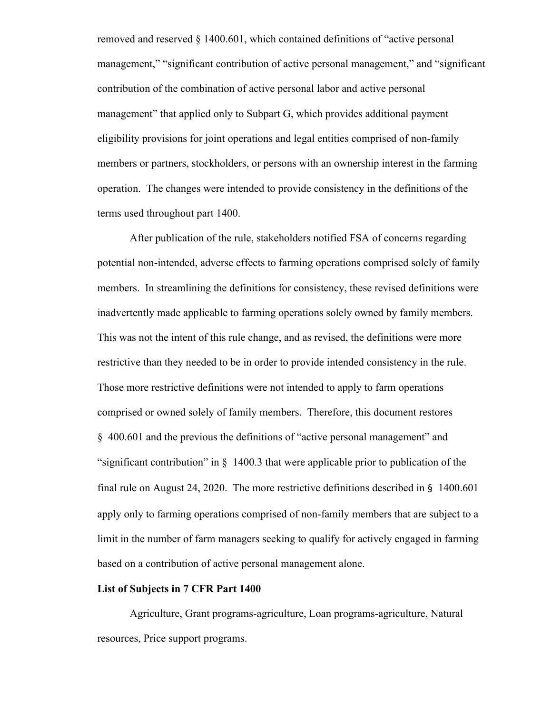removed and reserved § 1400.601, which contained definitions of "active personal management," "significant contribution of active personal management," and "significant contribution of the combination of active personal labor and active personal management" that applied only to Subpart G, which provides additional payment eligibility provisions for joint operations and legal entities comprised of non-family members or partners, stockholders, or persons with an ownership interest in the farming operation. The changes were intended to provide consistency in the definitions of the terms used throughout part 1400.

After publication of the rule, stakeholders notified FSA of concerns regarding potential non-intended, adverse effects to farming operations comprised solely of family members. In streamlining the definitions for consistency, these revised definitions were inadvertently made applicable to farming operations solely owned by family members. This was not the intent of this rule change, and as revised, the definitions were more restrictive than they needed to be in order to provide intended consistency in the rule. Those more restrictive definitions were not intended to apply to farm operations comprised or owned solely of family members. Therefore, this document restores § 400.601 and the previous the definitions of "active personal management" and "significant contribution" in § 1400.3 that were applicable prior to publication of the final rule on August 24, 2020. The more restrictive definitions described in § 1400.601 apply only to farming operations comprised of non-family members that are subject to a limit in the number of farm managers seeking to qualify for actively engaged in farming based on a contribution of active personal management alone.

#### **List of Subjects in 7 CFR Part 1400**

Agriculture, Grant programs-agriculture, Loan programs-agriculture, Natural resources, Price support programs.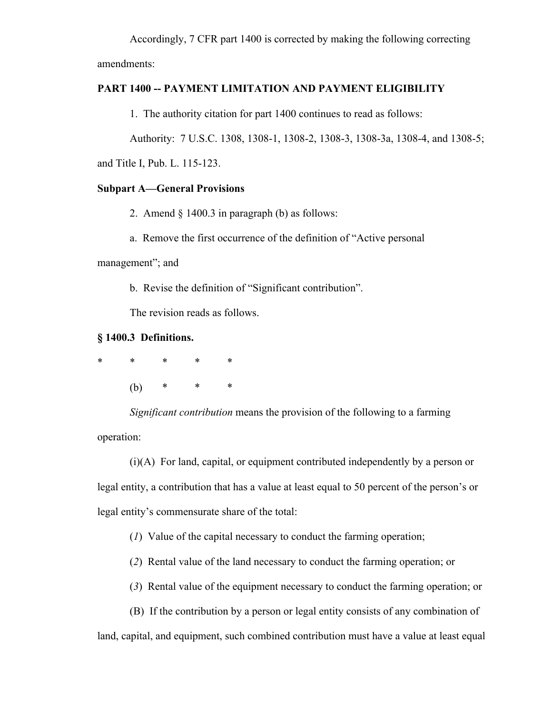Accordingly, 7 CFR part 1400 is corrected by making the following correcting amendments:

**PART 1400 -- PAYMENT LIMITATION AND PAYMENT ELIGIBILITY**

1. The authority citation for part 1400 continues to read as follows:

Authority: 7 U.S.C. 1308, 1308-1, 1308-2, 1308-3, 1308-3a, 1308-4, and 1308-5;

and Title I, Pub. L. 115-123.

## **Subpart A—General Provisions**

2. Amend  $\S$  1400.3 in paragraph (b) as follows:

a. Remove the first occurrence of the definition of "Active personal

management"; and

b. Revise the definition of "Significant contribution".

The revision reads as follows.

### **§ 1400.3 Definitions.**

| * | *   | $\ast$ | $\ast$ | $\ast$ |
|---|-----|--------|--------|--------|
|   | (b) | $\ast$ | $\ast$ | $\ast$ |

*Significant contribution* means the provision of the following to a farming operation:

(i)(A) For land, capital, or equipment contributed independently by a person or legal entity, a contribution that has a value at least equal to 50 percent of the person's or legal entity's commensurate share of the total:

(*1*) Value of the capital necessary to conduct the farming operation;

(*2*) Rental value of the land necessary to conduct the farming operation; or

(*3*) Rental value of the equipment necessary to conduct the farming operation; or

(B) If the contribution by a person or legal entity consists of any combination of

land, capital, and equipment, such combined contribution must have a value at least equal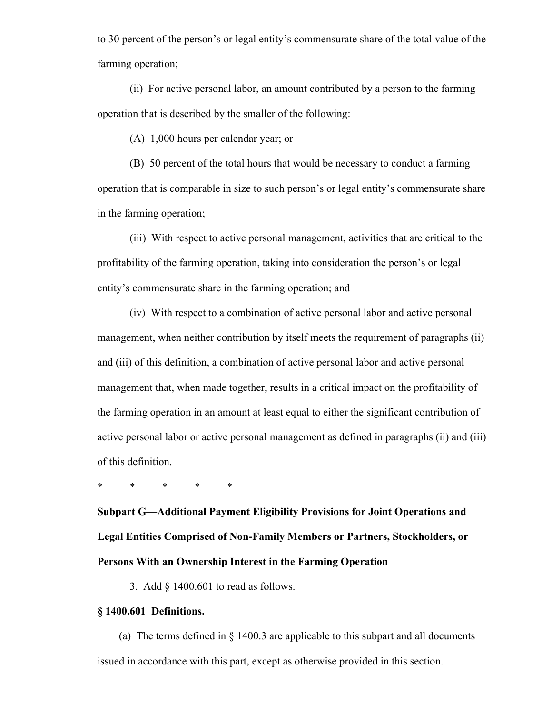to 30 percent of the person's or legal entity's commensurate share of the total value of the farming operation;

(ii) For active personal labor, an amount contributed by a person to the farming operation that is described by the smaller of the following:

(A) 1,000 hours per calendar year; or

(B) 50 percent of the total hours that would be necessary to conduct a farming operation that is comparable in size to such person's or legal entity's commensurate share in the farming operation;

(iii) With respect to active personal management, activities that are critical to the profitability of the farming operation, taking into consideration the person's or legal entity's commensurate share in the farming operation; and

(iv) With respect to a combination of active personal labor and active personal management, when neither contribution by itself meets the requirement of paragraphs (ii) and (iii) of this definition, a combination of active personal labor and active personal management that, when made together, results in a critical impact on the profitability of the farming operation in an amount at least equal to either the significant contribution of active personal labor or active personal management as defined in paragraphs (ii) and (iii) of this definition.

\* \* \* \* \*

**Subpart G—Additional Payment Eligibility Provisions for Joint Operations and Legal Entities Comprised of Non-Family Members or Partners, Stockholders, or Persons With an Ownership Interest in the Farming Operation**

3. Add § 1400.601 to read as follows.

### **§ 1400.601 Definitions.**

(a) The terms defined in  $\S$  1400.3 are applicable to this subpart and all documents issued in accordance with this part, except as otherwise provided in this section.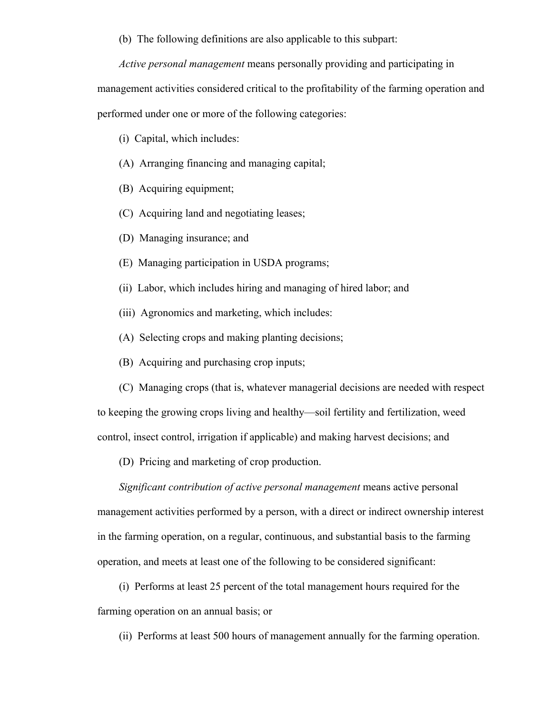(b) The following definitions are also applicable to this subpart:

*Active personal management* means personally providing and participating in management activities considered critical to the profitability of the farming operation and

performed under one or more of the following categories:

(i) Capital, which includes:

- (A) Arranging financing and managing capital;
- (B) Acquiring equipment;
- (C) Acquiring land and negotiating leases;
- (D) Managing insurance; and
- (E) Managing participation in USDA programs;
- (ii) Labor, which includes hiring and managing of hired labor; and
- (iii) Agronomics and marketing, which includes:
- (A) Selecting crops and making planting decisions;
- (B) Acquiring and purchasing crop inputs;
- (C) Managing crops (that is, whatever managerial decisions are needed with respect

to keeping the growing crops living and healthy—soil fertility and fertilization, weed

control, insect control, irrigation if applicable) and making harvest decisions; and

(D) Pricing and marketing of crop production.

*Significant contribution of active personal management* means active personal management activities performed by a person, with a direct or indirect ownership interest in the farming operation, on a regular, continuous, and substantial basis to the farming operation, and meets at least one of the following to be considered significant:

(i) Performs at least 25 percent of the total management hours required for the farming operation on an annual basis; or

(ii) Performs at least 500 hours of management annually for the farming operation.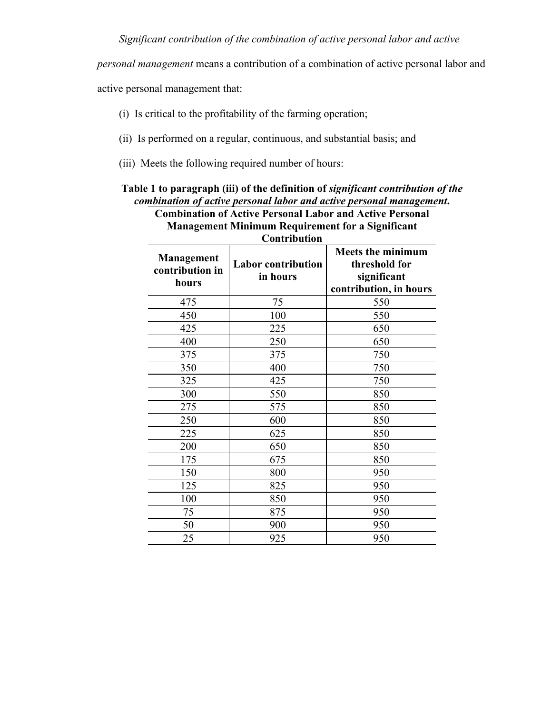*personal management* means a contribution of a combination of active personal labor and

active personal management that:

- (i) Is critical to the profitability of the farming operation;
- (ii) Is performed on a regular, continuous, and substantial basis; and
- (iii) Meets the following required number of hours:

| <b>Combination of Active Personal Labor and Active Personal</b><br><b>Management Minimum Requirement for a Significant</b><br><b>Contribution</b> |                                       |                                                                                    |  |  |
|---------------------------------------------------------------------------------------------------------------------------------------------------|---------------------------------------|------------------------------------------------------------------------------------|--|--|
| Management<br>contribution in<br>hours                                                                                                            | <b>Labor contribution</b><br>in hours | <b>Meets the minimum</b><br>threshold for<br>significant<br>contribution, in hours |  |  |
| 475                                                                                                                                               | 75                                    | 550                                                                                |  |  |
| 450                                                                                                                                               | 100                                   | 550                                                                                |  |  |
| 425                                                                                                                                               | 225                                   | 650                                                                                |  |  |
| 400                                                                                                                                               | 250                                   | 650                                                                                |  |  |
| 375                                                                                                                                               | 375                                   | 750                                                                                |  |  |
| 350                                                                                                                                               | 400                                   | 750                                                                                |  |  |
| 325                                                                                                                                               | 425                                   | 750                                                                                |  |  |
| 300                                                                                                                                               | 550                                   | 850                                                                                |  |  |
| 275                                                                                                                                               | 575                                   | 850                                                                                |  |  |
| 250                                                                                                                                               | 600                                   | 850                                                                                |  |  |
| 225                                                                                                                                               | 625                                   | 850                                                                                |  |  |
| 200                                                                                                                                               | 650                                   | 850                                                                                |  |  |
| 175                                                                                                                                               | 675                                   | 850                                                                                |  |  |
| 150                                                                                                                                               | 800                                   | 950                                                                                |  |  |
| 125                                                                                                                                               | 825                                   | 950                                                                                |  |  |
| 100                                                                                                                                               | 850                                   | 950                                                                                |  |  |
| 75                                                                                                                                                | 875                                   | 950                                                                                |  |  |
| 50                                                                                                                                                | 900                                   | 950                                                                                |  |  |
| 25                                                                                                                                                | 925                                   | 950                                                                                |  |  |

# **Table 1 to paragraph (iii) of the definition of** *significant contribution of the combination of active personal labor and active personal management***.**